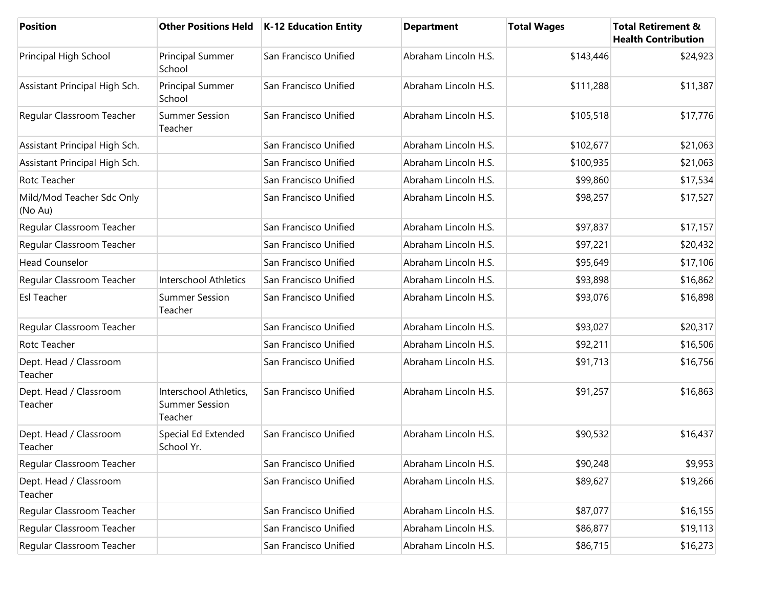| <b>Position</b>                      |                                                            | Other Positions Held   K-12 Education Entity | <b>Department</b>    | <b>Total Wages</b> | <b>Total Retirement &amp;</b><br><b>Health Contribution</b> |
|--------------------------------------|------------------------------------------------------------|----------------------------------------------|----------------------|--------------------|-------------------------------------------------------------|
| Principal High School                | Principal Summer<br>School                                 | San Francisco Unified                        | Abraham Lincoln H.S. | \$143,446          | \$24,923                                                    |
| Assistant Principal High Sch.        | Principal Summer<br>School                                 | San Francisco Unified                        | Abraham Lincoln H.S. | \$111,288          | \$11,387                                                    |
| Regular Classroom Teacher            | <b>Summer Session</b><br>Teacher                           | San Francisco Unified                        | Abraham Lincoln H.S. | \$105,518          | \$17,776                                                    |
| Assistant Principal High Sch.        |                                                            | San Francisco Unified                        | Abraham Lincoln H.S. | \$102,677          | \$21,063                                                    |
| Assistant Principal High Sch.        |                                                            | San Francisco Unified                        | Abraham Lincoln H.S. | \$100,935          | \$21,063                                                    |
| Rotc Teacher                         |                                                            | San Francisco Unified                        | Abraham Lincoln H.S. | \$99,860           | \$17,534                                                    |
| Mild/Mod Teacher Sdc Only<br>(No Au) |                                                            | San Francisco Unified                        | Abraham Lincoln H.S. | \$98,257           | \$17,527                                                    |
| Regular Classroom Teacher            |                                                            | San Francisco Unified                        | Abraham Lincoln H.S. | \$97,837           | \$17,157                                                    |
| Regular Classroom Teacher            |                                                            | San Francisco Unified                        | Abraham Lincoln H.S. | \$97,221           | \$20,432                                                    |
| <b>Head Counselor</b>                |                                                            | San Francisco Unified                        | Abraham Lincoln H.S. | \$95,649           | \$17,106                                                    |
| Regular Classroom Teacher            | Interschool Athletics                                      | San Francisco Unified                        | Abraham Lincoln H.S. | \$93,898           | \$16,862                                                    |
| <b>Esl Teacher</b>                   | <b>Summer Session</b><br>Teacher                           | San Francisco Unified                        | Abraham Lincoln H.S. | \$93,076           | \$16,898                                                    |
| Regular Classroom Teacher            |                                                            | San Francisco Unified                        | Abraham Lincoln H.S. | \$93,027           | \$20,317                                                    |
| Rotc Teacher                         |                                                            | San Francisco Unified                        | Abraham Lincoln H.S. | \$92,211           | \$16,506                                                    |
| Dept. Head / Classroom<br>Teacher    |                                                            | San Francisco Unified                        | Abraham Lincoln H.S. | \$91,713           | \$16,756                                                    |
| Dept. Head / Classroom<br>Teacher    | Interschool Athletics,<br><b>Summer Session</b><br>Teacher | San Francisco Unified                        | Abraham Lincoln H.S. | \$91,257           | \$16,863                                                    |
| Dept. Head / Classroom<br>Teacher    | Special Ed Extended<br>School Yr.                          | San Francisco Unified                        | Abraham Lincoln H.S. | \$90,532           | \$16,437                                                    |
| Regular Classroom Teacher            |                                                            | San Francisco Unified                        | Abraham Lincoln H.S. | \$90,248           | \$9,953                                                     |
| Dept. Head / Classroom<br>Teacher    |                                                            | San Francisco Unified                        | Abraham Lincoln H.S. | \$89,627           | \$19,266                                                    |
| Regular Classroom Teacher            |                                                            | San Francisco Unified                        | Abraham Lincoln H.S. | \$87,077           | \$16,155                                                    |
| Regular Classroom Teacher            |                                                            | San Francisco Unified                        | Abraham Lincoln H.S. | \$86,877           | \$19,113                                                    |
| Regular Classroom Teacher            |                                                            | San Francisco Unified                        | Abraham Lincoln H.S. | \$86,715           | \$16,273                                                    |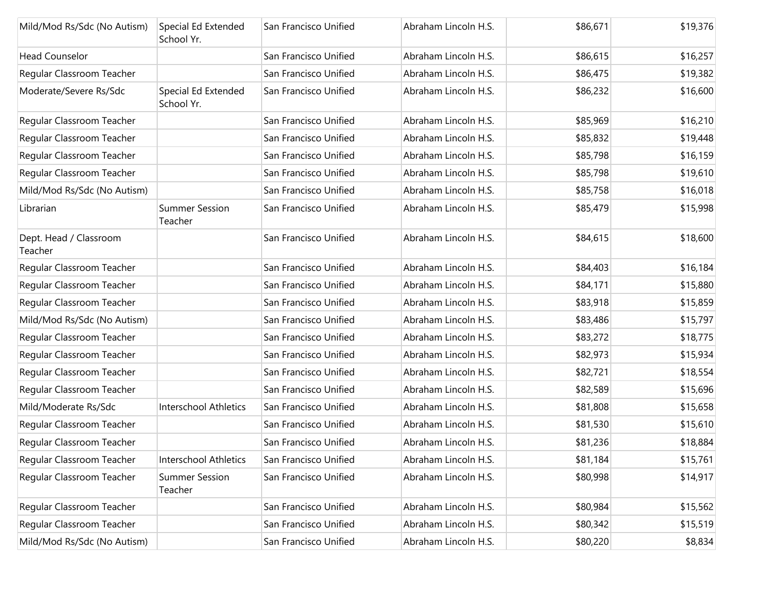| Mild/Mod Rs/Sdc (No Autism)       | Special Ed Extended<br>School Yr. | San Francisco Unified | Abraham Lincoln H.S. | \$86,671 | \$19,376 |
|-----------------------------------|-----------------------------------|-----------------------|----------------------|----------|----------|
| <b>Head Counselor</b>             |                                   | San Francisco Unified | Abraham Lincoln H.S. | \$86,615 | \$16,257 |
| Regular Classroom Teacher         |                                   | San Francisco Unified | Abraham Lincoln H.S. | \$86,475 | \$19,382 |
| Moderate/Severe Rs/Sdc            | Special Ed Extended<br>School Yr. | San Francisco Unified | Abraham Lincoln H.S. | \$86,232 | \$16,600 |
| Regular Classroom Teacher         |                                   | San Francisco Unified | Abraham Lincoln H.S. | \$85,969 | \$16,210 |
| Regular Classroom Teacher         |                                   | San Francisco Unified | Abraham Lincoln H.S. | \$85,832 | \$19,448 |
| Regular Classroom Teacher         |                                   | San Francisco Unified | Abraham Lincoln H.S. | \$85,798 | \$16,159 |
| Regular Classroom Teacher         |                                   | San Francisco Unified | Abraham Lincoln H.S. | \$85,798 | \$19,610 |
| Mild/Mod Rs/Sdc (No Autism)       |                                   | San Francisco Unified | Abraham Lincoln H.S. | \$85,758 | \$16,018 |
| Librarian                         | <b>Summer Session</b><br>Teacher  | San Francisco Unified | Abraham Lincoln H.S. | \$85,479 | \$15,998 |
| Dept. Head / Classroom<br>Teacher |                                   | San Francisco Unified | Abraham Lincoln H.S. | \$84,615 | \$18,600 |
| Regular Classroom Teacher         |                                   | San Francisco Unified | Abraham Lincoln H.S. | \$84,403 | \$16,184 |
| Regular Classroom Teacher         |                                   | San Francisco Unified | Abraham Lincoln H.S. | \$84,171 | \$15,880 |
| Regular Classroom Teacher         |                                   | San Francisco Unified | Abraham Lincoln H.S. | \$83,918 | \$15,859 |
| Mild/Mod Rs/Sdc (No Autism)       |                                   | San Francisco Unified | Abraham Lincoln H.S. | \$83,486 | \$15,797 |
| Regular Classroom Teacher         |                                   | San Francisco Unified | Abraham Lincoln H.S. | \$83,272 | \$18,775 |
| Regular Classroom Teacher         |                                   | San Francisco Unified | Abraham Lincoln H.S. | \$82,973 | \$15,934 |
| Regular Classroom Teacher         |                                   | San Francisco Unified | Abraham Lincoln H.S. | \$82,721 | \$18,554 |
| Regular Classroom Teacher         |                                   | San Francisco Unified | Abraham Lincoln H.S. | \$82,589 | \$15,696 |
| Mild/Moderate Rs/Sdc              | <b>Interschool Athletics</b>      | San Francisco Unified | Abraham Lincoln H.S. | \$81,808 | \$15,658 |
| Regular Classroom Teacher         |                                   | San Francisco Unified | Abraham Lincoln H.S. | \$81,530 | \$15,610 |
| Regular Classroom Teacher         |                                   | San Francisco Unified | Abraham Lincoln H.S. | \$81,236 | \$18,884 |
| Regular Classroom Teacher         | Interschool Athletics             | San Francisco Unified | Abraham Lincoln H.S. | \$81,184 | \$15,761 |
| Regular Classroom Teacher         | <b>Summer Session</b><br>Teacher  | San Francisco Unified | Abraham Lincoln H.S. | \$80,998 | \$14,917 |
| Regular Classroom Teacher         |                                   | San Francisco Unified | Abraham Lincoln H.S. | \$80,984 | \$15,562 |
| Regular Classroom Teacher         |                                   | San Francisco Unified | Abraham Lincoln H.S. | \$80,342 | \$15,519 |
| Mild/Mod Rs/Sdc (No Autism)       |                                   | San Francisco Unified | Abraham Lincoln H.S. | \$80,220 | \$8,834  |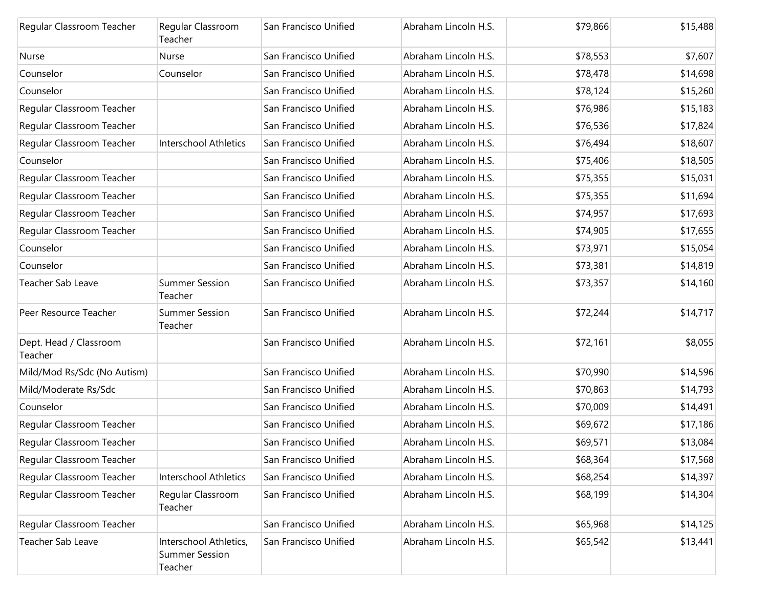| Regular Classroom Teacher         | Regular Classroom<br>Teacher                               | San Francisco Unified | Abraham Lincoln H.S. | \$79,866 | \$15,488 |
|-----------------------------------|------------------------------------------------------------|-----------------------|----------------------|----------|----------|
| Nurse                             | Nurse                                                      | San Francisco Unified | Abraham Lincoln H.S. | \$78,553 | \$7,607  |
| Counselor                         | Counselor                                                  | San Francisco Unified | Abraham Lincoln H.S. | \$78,478 | \$14,698 |
| Counselor                         |                                                            | San Francisco Unified | Abraham Lincoln H.S. | \$78,124 | \$15,260 |
| Regular Classroom Teacher         |                                                            | San Francisco Unified | Abraham Lincoln H.S. | \$76,986 | \$15,183 |
| Regular Classroom Teacher         |                                                            | San Francisco Unified | Abraham Lincoln H.S. | \$76,536 | \$17,824 |
| Regular Classroom Teacher         | <b>Interschool Athletics</b>                               | San Francisco Unified | Abraham Lincoln H.S. | \$76,494 | \$18,607 |
| Counselor                         |                                                            | San Francisco Unified | Abraham Lincoln H.S. | \$75,406 | \$18,505 |
| Regular Classroom Teacher         |                                                            | San Francisco Unified | Abraham Lincoln H.S. | \$75,355 | \$15,031 |
| Regular Classroom Teacher         |                                                            | San Francisco Unified | Abraham Lincoln H.S. | \$75,355 | \$11,694 |
| Regular Classroom Teacher         |                                                            | San Francisco Unified | Abraham Lincoln H.S. | \$74,957 | \$17,693 |
| Regular Classroom Teacher         |                                                            | San Francisco Unified | Abraham Lincoln H.S. | \$74,905 | \$17,655 |
| Counselor                         |                                                            | San Francisco Unified | Abraham Lincoln H.S. | \$73,971 | \$15,054 |
| Counselor                         |                                                            | San Francisco Unified | Abraham Lincoln H.S. | \$73,381 | \$14,819 |
| Teacher Sab Leave                 | <b>Summer Session</b><br>Teacher                           | San Francisco Unified | Abraham Lincoln H.S. | \$73,357 | \$14,160 |
| Peer Resource Teacher             | <b>Summer Session</b><br>Teacher                           | San Francisco Unified | Abraham Lincoln H.S. | \$72,244 | \$14,717 |
| Dept. Head / Classroom<br>Teacher |                                                            | San Francisco Unified | Abraham Lincoln H.S. | \$72,161 | \$8,055  |
| Mild/Mod Rs/Sdc (No Autism)       |                                                            | San Francisco Unified | Abraham Lincoln H.S. | \$70,990 | \$14,596 |
| Mild/Moderate Rs/Sdc              |                                                            | San Francisco Unified | Abraham Lincoln H.S. | \$70,863 | \$14,793 |
| Counselor                         |                                                            | San Francisco Unified | Abraham Lincoln H.S. | \$70,009 | \$14,491 |
| Regular Classroom Teacher         |                                                            | San Francisco Unified | Abraham Lincoln H.S. | \$69,672 | \$17,186 |
| Regular Classroom Teacher         |                                                            | San Francisco Unified | Abraham Lincoln H.S. | \$69,571 | \$13,084 |
| Regular Classroom Teacher         |                                                            | San Francisco Unified | Abraham Lincoln H.S. | \$68,364 | \$17,568 |
| Regular Classroom Teacher         | Interschool Athletics                                      | San Francisco Unified | Abraham Lincoln H.S. | \$68,254 | \$14,397 |
| Regular Classroom Teacher         | Regular Classroom<br>Teacher                               | San Francisco Unified | Abraham Lincoln H.S. | \$68,199 | \$14,304 |
| Regular Classroom Teacher         |                                                            | San Francisco Unified | Abraham Lincoln H.S. | \$65,968 | \$14,125 |
| Teacher Sab Leave                 | Interschool Athletics,<br><b>Summer Session</b><br>Teacher | San Francisco Unified | Abraham Lincoln H.S. | \$65,542 | \$13,441 |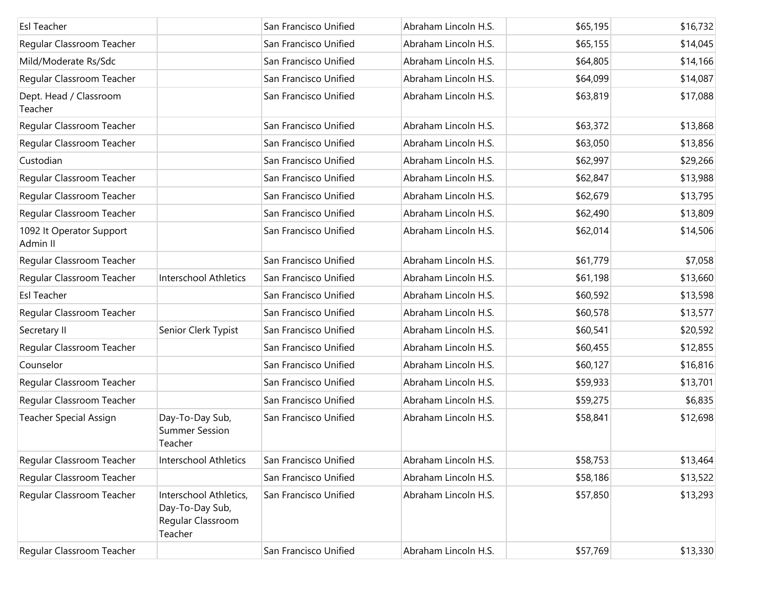| <b>Esl Teacher</b>                   |                                                                           | San Francisco Unified | Abraham Lincoln H.S. | \$65,195 | \$16,732 |
|--------------------------------------|---------------------------------------------------------------------------|-----------------------|----------------------|----------|----------|
| Regular Classroom Teacher            |                                                                           | San Francisco Unified | Abraham Lincoln H.S. | \$65,155 | \$14,045 |
| Mild/Moderate Rs/Sdc                 |                                                                           | San Francisco Unified | Abraham Lincoln H.S. | \$64,805 | \$14,166 |
| Regular Classroom Teacher            |                                                                           | San Francisco Unified | Abraham Lincoln H.S. | \$64,099 | \$14,087 |
| Dept. Head / Classroom<br>Teacher    |                                                                           | San Francisco Unified | Abraham Lincoln H.S. | \$63,819 | \$17,088 |
| Regular Classroom Teacher            |                                                                           | San Francisco Unified | Abraham Lincoln H.S. | \$63,372 | \$13,868 |
| Regular Classroom Teacher            |                                                                           | San Francisco Unified | Abraham Lincoln H.S. | \$63,050 | \$13,856 |
| Custodian                            |                                                                           | San Francisco Unified | Abraham Lincoln H.S. | \$62,997 | \$29,266 |
| Regular Classroom Teacher            |                                                                           | San Francisco Unified | Abraham Lincoln H.S. | \$62,847 | \$13,988 |
| Regular Classroom Teacher            |                                                                           | San Francisco Unified | Abraham Lincoln H.S. | \$62,679 | \$13,795 |
| Regular Classroom Teacher            |                                                                           | San Francisco Unified | Abraham Lincoln H.S. | \$62,490 | \$13,809 |
| 1092 It Operator Support<br>Admin II |                                                                           | San Francisco Unified | Abraham Lincoln H.S. | \$62,014 | \$14,506 |
| Regular Classroom Teacher            |                                                                           | San Francisco Unified | Abraham Lincoln H.S. | \$61,779 | \$7,058  |
| Regular Classroom Teacher            | Interschool Athletics                                                     | San Francisco Unified | Abraham Lincoln H.S. | \$61,198 | \$13,660 |
| <b>Esl Teacher</b>                   |                                                                           | San Francisco Unified | Abraham Lincoln H.S. | \$60,592 | \$13,598 |
| Regular Classroom Teacher            |                                                                           | San Francisco Unified | Abraham Lincoln H.S. | \$60,578 | \$13,577 |
| Secretary II                         | Senior Clerk Typist                                                       | San Francisco Unified | Abraham Lincoln H.S. | \$60,541 | \$20,592 |
| Regular Classroom Teacher            |                                                                           | San Francisco Unified | Abraham Lincoln H.S. | \$60,455 | \$12,855 |
| Counselor                            |                                                                           | San Francisco Unified | Abraham Lincoln H.S. | \$60,127 | \$16,816 |
| Regular Classroom Teacher            |                                                                           | San Francisco Unified | Abraham Lincoln H.S. | \$59,933 | \$13,701 |
| Regular Classroom Teacher            |                                                                           | San Francisco Unified | Abraham Lincoln H.S. | \$59,275 | \$6,835  |
| Teacher Special Assign               | Day-To-Day Sub,<br><b>Summer Session</b><br>Teacher                       | San Francisco Unified | Abraham Lincoln H.S. | \$58,841 | \$12,698 |
| Regular Classroom Teacher            | <b>Interschool Athletics</b>                                              | San Francisco Unified | Abraham Lincoln H.S. | \$58,753 | \$13,464 |
| Regular Classroom Teacher            |                                                                           | San Francisco Unified | Abraham Lincoln H.S. | \$58,186 | \$13,522 |
| Regular Classroom Teacher            | Interschool Athletics,<br>Day-To-Day Sub,<br>Regular Classroom<br>Teacher | San Francisco Unified | Abraham Lincoln H.S. | \$57,850 | \$13,293 |
| Regular Classroom Teacher            |                                                                           | San Francisco Unified | Abraham Lincoln H.S. | \$57,769 | \$13,330 |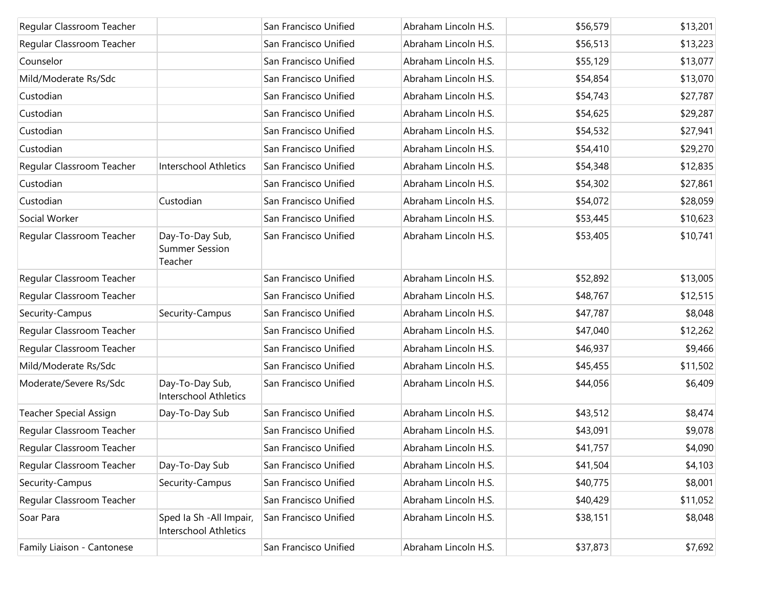| Regular Classroom Teacher     |                                                          | San Francisco Unified | Abraham Lincoln H.S. | \$56,579 | \$13,201 |
|-------------------------------|----------------------------------------------------------|-----------------------|----------------------|----------|----------|
| Regular Classroom Teacher     |                                                          | San Francisco Unified | Abraham Lincoln H.S. | \$56,513 | \$13,223 |
| Counselor                     |                                                          | San Francisco Unified | Abraham Lincoln H.S. | \$55,129 | \$13,077 |
| Mild/Moderate Rs/Sdc          |                                                          | San Francisco Unified | Abraham Lincoln H.S. | \$54,854 | \$13,070 |
| Custodian                     |                                                          | San Francisco Unified | Abraham Lincoln H.S. | \$54,743 | \$27,787 |
| Custodian                     |                                                          | San Francisco Unified | Abraham Lincoln H.S. | \$54,625 | \$29,287 |
| Custodian                     |                                                          | San Francisco Unified | Abraham Lincoln H.S. | \$54,532 | \$27,941 |
| Custodian                     |                                                          | San Francisco Unified | Abraham Lincoln H.S. | \$54,410 | \$29,270 |
| Regular Classroom Teacher     | Interschool Athletics                                    | San Francisco Unified | Abraham Lincoln H.S. | \$54,348 | \$12,835 |
| Custodian                     |                                                          | San Francisco Unified | Abraham Lincoln H.S. | \$54,302 | \$27,861 |
| Custodian                     | Custodian                                                | San Francisco Unified | Abraham Lincoln H.S. | \$54,072 | \$28,059 |
| Social Worker                 |                                                          | San Francisco Unified | Abraham Lincoln H.S. | \$53,445 | \$10,623 |
| Regular Classroom Teacher     | Day-To-Day Sub,<br><b>Summer Session</b><br>Teacher      | San Francisco Unified | Abraham Lincoln H.S. | \$53,405 | \$10,741 |
| Regular Classroom Teacher     |                                                          | San Francisco Unified | Abraham Lincoln H.S. | \$52,892 | \$13,005 |
| Regular Classroom Teacher     |                                                          | San Francisco Unified | Abraham Lincoln H.S. | \$48,767 | \$12,515 |
| Security-Campus               | Security-Campus                                          | San Francisco Unified | Abraham Lincoln H.S. | \$47,787 | \$8,048  |
| Regular Classroom Teacher     |                                                          | San Francisco Unified | Abraham Lincoln H.S. | \$47,040 | \$12,262 |
| Regular Classroom Teacher     |                                                          | San Francisco Unified | Abraham Lincoln H.S. | \$46,937 | \$9,466  |
| Mild/Moderate Rs/Sdc          |                                                          | San Francisco Unified | Abraham Lincoln H.S. | \$45,455 | \$11,502 |
| Moderate/Severe Rs/Sdc        | Day-To-Day Sub,<br><b>Interschool Athletics</b>          | San Francisco Unified | Abraham Lincoln H.S. | \$44,056 | \$6,409  |
| <b>Teacher Special Assign</b> | Day-To-Day Sub                                           | San Francisco Unified | Abraham Lincoln H.S. | \$43,512 | \$8,474  |
| Regular Classroom Teacher     |                                                          | San Francisco Unified | Abraham Lincoln H.S. | \$43,091 | \$9,078  |
| Regular Classroom Teacher     |                                                          | San Francisco Unified | Abraham Lincoln H.S. | \$41,757 | \$4,090  |
| Regular Classroom Teacher     | Day-To-Day Sub                                           | San Francisco Unified | Abraham Lincoln H.S. | \$41,504 | \$4,103  |
| Security-Campus               | Security-Campus                                          | San Francisco Unified | Abraham Lincoln H.S. | \$40,775 | \$8,001  |
| Regular Classroom Teacher     |                                                          | San Francisco Unified | Abraham Lincoln H.S. | \$40,429 | \$11,052 |
| Soar Para                     | Sped Ia Sh - All Impair,<br><b>Interschool Athletics</b> | San Francisco Unified | Abraham Lincoln H.S. | \$38,151 | \$8,048  |
| Family Liaison - Cantonese    |                                                          | San Francisco Unified | Abraham Lincoln H.S. | \$37,873 | \$7,692  |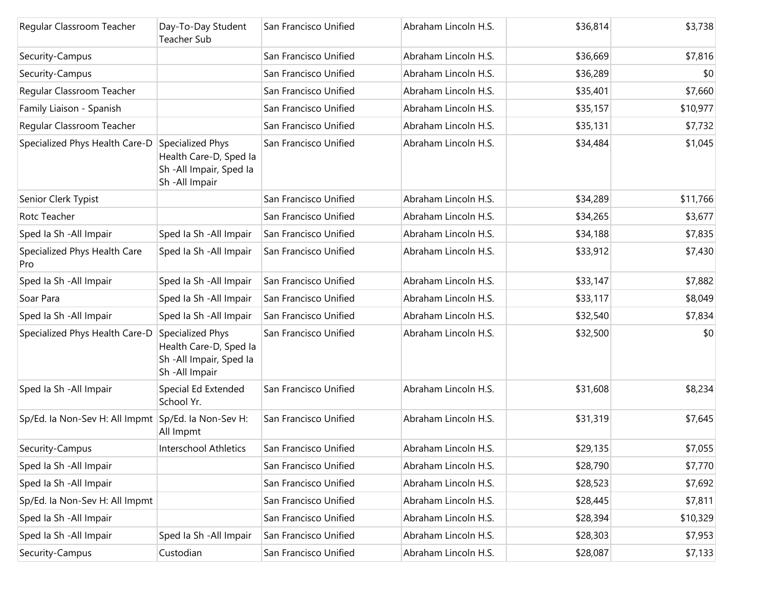| Regular Classroom Teacher                           | Day-To-Day Student<br>Teacher Sub                                                       | San Francisco Unified | Abraham Lincoln H.S. | \$36,814 | \$3,738  |
|-----------------------------------------------------|-----------------------------------------------------------------------------------------|-----------------------|----------------------|----------|----------|
| Security-Campus                                     |                                                                                         | San Francisco Unified | Abraham Lincoln H.S. | \$36,669 | \$7,816  |
| Security-Campus                                     |                                                                                         | San Francisco Unified | Abraham Lincoln H.S. | \$36,289 | \$0      |
| Regular Classroom Teacher                           |                                                                                         | San Francisco Unified | Abraham Lincoln H.S. | \$35,401 | \$7,660  |
| Family Liaison - Spanish                            |                                                                                         | San Francisco Unified | Abraham Lincoln H.S. | \$35,157 | \$10,977 |
| Regular Classroom Teacher                           |                                                                                         | San Francisco Unified | Abraham Lincoln H.S. | \$35,131 | \$7,732  |
| Specialized Phys Health Care-D                      | Specialized Phys<br>Health Care-D, Sped la<br>Sh -All Impair, Sped Ia<br>Sh-All Impair  | San Francisco Unified | Abraham Lincoln H.S. | \$34,484 | \$1,045  |
| Senior Clerk Typist                                 |                                                                                         | San Francisco Unified | Abraham Lincoln H.S. | \$34,289 | \$11,766 |
| Rotc Teacher                                        |                                                                                         | San Francisco Unified | Abraham Lincoln H.S. | \$34,265 | \$3,677  |
| Sped la Sh - All Impair                             | Sped Ia Sh - All Impair                                                                 | San Francisco Unified | Abraham Lincoln H.S. | \$34,188 | \$7,835  |
| Specialized Phys Health Care<br>Pro                 | Sped Ia Sh - All Impair                                                                 | San Francisco Unified | Abraham Lincoln H.S. | \$33,912 | \$7,430  |
| Sped Ia Sh - All Impair                             | Sped la Sh - All Impair                                                                 | San Francisco Unified | Abraham Lincoln H.S. | \$33,147 | \$7,882  |
| Soar Para                                           | Sped Ia Sh - All Impair                                                                 | San Francisco Unified | Abraham Lincoln H.S. | \$33,117 | \$8,049  |
| Sped la Sh - All Impair                             | Sped Ia Sh - All Impair                                                                 | San Francisco Unified | Abraham Lincoln H.S. | \$32,540 | \$7,834  |
| Specialized Phys Health Care-D                      | Specialized Phys<br>Health Care-D, Sped la<br>Sh - All Impair, Sped Ia<br>Sh-All Impair | San Francisco Unified | Abraham Lincoln H.S. | \$32,500 | \$0      |
| Sped Ia Sh - All Impair                             | Special Ed Extended<br>School Yr.                                                       | San Francisco Unified | Abraham Lincoln H.S. | \$31,608 | \$8,234  |
| Sp/Ed. la Non-Sev H: All Impmt Sp/Ed. la Non-Sev H: | All Impmt                                                                               | San Francisco Unified | Abraham Lincoln H.S. | \$31,319 | \$7,645  |
| Security-Campus                                     | Interschool Athletics                                                                   | San Francisco Unified | Abraham Lincoln H.S. | \$29,135 | \$7,055  |
| Sped la Sh - All Impair                             |                                                                                         | San Francisco Unified | Abraham Lincoln H.S. | \$28,790 | \$7,770  |
| Sped Ia Sh - All Impair                             |                                                                                         | San Francisco Unified | Abraham Lincoln H.S. | \$28,523 | \$7,692  |
| Sp/Ed. Ia Non-Sev H: All Impmt                      |                                                                                         | San Francisco Unified | Abraham Lincoln H.S. | \$28,445 | \$7,811  |
| Sped Ia Sh - All Impair                             |                                                                                         | San Francisco Unified | Abraham Lincoln H.S. | \$28,394 | \$10,329 |
| Sped la Sh - All Impair                             | Sped Ia Sh - All Impair                                                                 | San Francisco Unified | Abraham Lincoln H.S. | \$28,303 | \$7,953  |
| Security-Campus                                     | Custodian                                                                               | San Francisco Unified | Abraham Lincoln H.S. | \$28,087 | \$7,133  |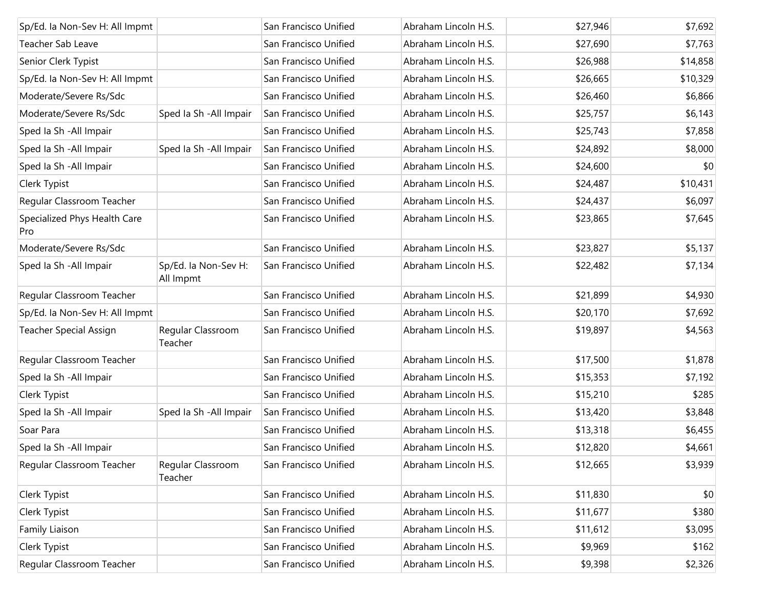| Sp/Ed. la Non-Sev H: All Impmt      |                                   | San Francisco Unified | Abraham Lincoln H.S. | \$27,946 | \$7,692  |
|-------------------------------------|-----------------------------------|-----------------------|----------------------|----------|----------|
| Teacher Sab Leave                   |                                   | San Francisco Unified | Abraham Lincoln H.S. | \$27,690 | \$7,763  |
| Senior Clerk Typist                 |                                   | San Francisco Unified | Abraham Lincoln H.S. | \$26,988 | \$14,858 |
| Sp/Ed. la Non-Sev H: All Impmt      |                                   | San Francisco Unified | Abraham Lincoln H.S. | \$26,665 | \$10,329 |
| Moderate/Severe Rs/Sdc              |                                   | San Francisco Unified | Abraham Lincoln H.S. | \$26,460 | \$6,866  |
| Moderate/Severe Rs/Sdc              | Sped Ia Sh - All Impair           | San Francisco Unified | Abraham Lincoln H.S. | \$25,757 | \$6,143  |
| Sped Ia Sh - All Impair             |                                   | San Francisco Unified | Abraham Lincoln H.S. | \$25,743 | \$7,858  |
| Sped Ia Sh - All Impair             | Sped Ia Sh - All Impair           | San Francisco Unified | Abraham Lincoln H.S. | \$24,892 | \$8,000  |
| Sped Ia Sh - All Impair             |                                   | San Francisco Unified | Abraham Lincoln H.S. | \$24,600 | \$0      |
| Clerk Typist                        |                                   | San Francisco Unified | Abraham Lincoln H.S. | \$24,487 | \$10,431 |
| Regular Classroom Teacher           |                                   | San Francisco Unified | Abraham Lincoln H.S. | \$24,437 | \$6,097  |
| Specialized Phys Health Care<br>Pro |                                   | San Francisco Unified | Abraham Lincoln H.S. | \$23,865 | \$7,645  |
| Moderate/Severe Rs/Sdc              |                                   | San Francisco Unified | Abraham Lincoln H.S. | \$23,827 | \$5,137  |
| Sped Ia Sh - All Impair             | Sp/Ed. la Non-Sev H:<br>All Impmt | San Francisco Unified | Abraham Lincoln H.S. | \$22,482 | \$7,134  |
| Regular Classroom Teacher           |                                   | San Francisco Unified | Abraham Lincoln H.S. | \$21,899 | \$4,930  |
| Sp/Ed. la Non-Sev H: All Impmt      |                                   | San Francisco Unified | Abraham Lincoln H.S. | \$20,170 | \$7,692  |
| Teacher Special Assign              | Regular Classroom<br>Teacher      | San Francisco Unified | Abraham Lincoln H.S. | \$19,897 | \$4,563  |
| Regular Classroom Teacher           |                                   | San Francisco Unified | Abraham Lincoln H.S. | \$17,500 | \$1,878  |
| Sped Ia Sh - All Impair             |                                   | San Francisco Unified | Abraham Lincoln H.S. | \$15,353 | \$7,192  |
| Clerk Typist                        |                                   | San Francisco Unified | Abraham Lincoln H.S. | \$15,210 | \$285    |
| Sped Ia Sh - All Impair             | Sped Ia Sh - All Impair           | San Francisco Unified | Abraham Lincoln H.S. | \$13,420 | \$3,848  |
| Soar Para                           |                                   | San Francisco Unified | Abraham Lincoln H.S. | \$13,318 | \$6,455  |
| Sped Ia Sh - All Impair             |                                   | San Francisco Unified | Abraham Lincoln H.S. | \$12,820 | \$4,661  |
| Regular Classroom Teacher           | Regular Classroom<br>Teacher      | San Francisco Unified | Abraham Lincoln H.S. | \$12,665 | \$3,939  |
| Clerk Typist                        |                                   | San Francisco Unified | Abraham Lincoln H.S. | \$11,830 | \$0      |
| Clerk Typist                        |                                   | San Francisco Unified | Abraham Lincoln H.S. | \$11,677 | \$380    |
| Family Liaison                      |                                   | San Francisco Unified | Abraham Lincoln H.S. | \$11,612 | \$3,095  |
| Clerk Typist                        |                                   | San Francisco Unified | Abraham Lincoln H.S. | \$9,969  | \$162    |
| Regular Classroom Teacher           |                                   | San Francisco Unified | Abraham Lincoln H.S. | \$9,398  | \$2,326  |